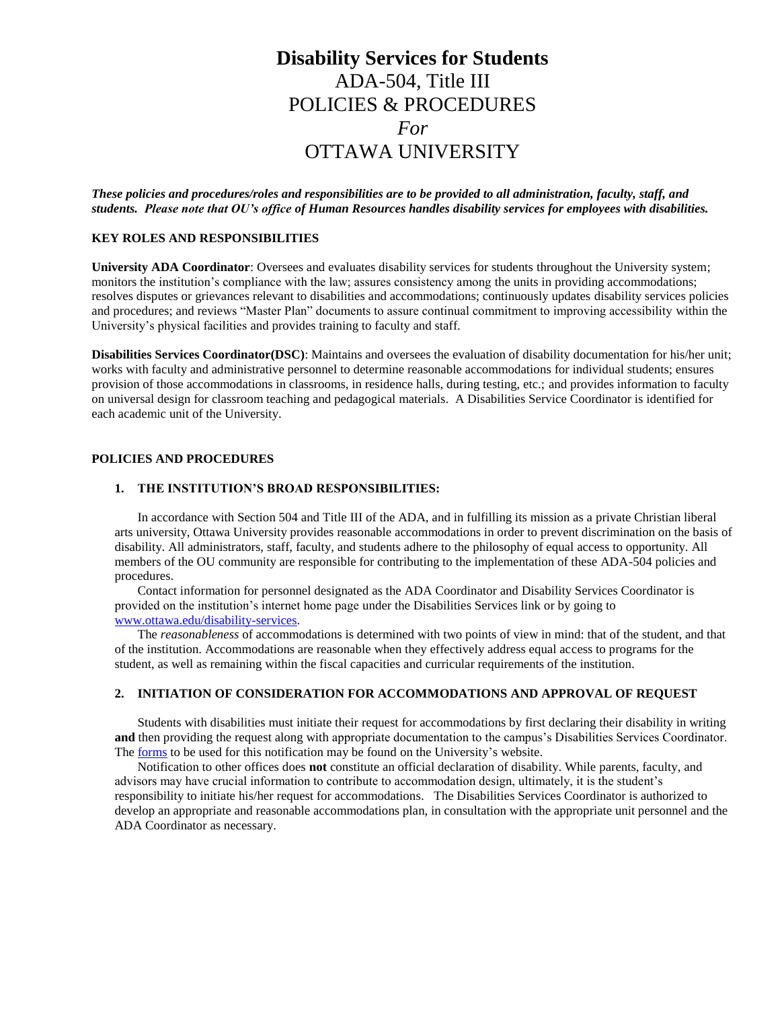# **Disability Services for Students** ADA-504, Title III POLICIES & PROCEDURES *For* OTTAWA UNIVERSITY

*These policies and procedures/roles and responsibilities are to be provided to all administration, faculty, staff, and students. Please note that OU's office of Human Resources handles disability services for employees with disabilities.*

#### **KEY ROLES AND RESPONSIBILITIES**

**University ADA Coordinator**: Oversees and evaluates disability services for students throughout the University system; monitors the institution's compliance with the law; assures consistency among the units in providing accommodations; resolves disputes or grievances relevant to disabilities and accommodations; continuously updates disability services policies and procedures; and reviews "Master Plan" documents to assure continual commitment to improving accessibility within the University's physical facilities and provides training to faculty and staff.

**Disabilities Services Coordinator(DSC)**: Maintains and oversees the evaluation of disability documentation for his/her unit; works with faculty and administrative personnel to determine reasonable accommodations for individual students; ensures provision of those accommodations in classrooms, in residence halls, during testing, etc.; and provides information to faculty on universal design for classroom teaching and pedagogical materials. A Disabilities Service Coordinator is identified for each academic unit of the University.

# **POLICIES AND PROCEDURES**

### **1. THE INSTITUTION'S BROAD RESPONSIBILITIES:**

In accordance with Section 504 and Title III of the ADA, and in fulfilling its mission as a private Christian liberal arts university, Ottawa University provides reasonable accommodations in order to prevent discrimination on the basis of disability. All administrators, staff, faculty, and students adhere to the philosophy of equal access to opportunity. All members of the OU community are responsible for contributing to the implementation of these ADA-504 policies and procedures.

Contact information for personnel designated as the ADA Coordinator and Disability Services Coordinator is provided on the institution's internet home page under the Disabilities Services link or by going to [www.ottawa.edu/disability-services.](http://www.ottawa.edu/disability-services) 

The *reasonableness* of accommodations is determined with two points of view in mind: that of the student, and that of the institution. Accommodations are reasonable when they effectively address equal access to programs for the student, as well as remaining within the fiscal capacities and curricular requirements of the institution.

### **2. INITIATION OF CONSIDERATION FOR ACCOMMODATIONS AND APPROVAL OF REQUEST**

Students with disabilities must initiate their request for accommodations by first declaring their disability in writing **and** then providing the request along with appropriate documentation to the campus's Disabilities Services Coordinator. The [forms](http://www.ottawa.edu/disability-services) to be used for this notification may be found on the University's website.

Notification to other offices does **not** constitute an official declaration of disability. While parents, faculty, and advisors may have crucial information to contribute to accommodation design, ultimately, it is the student's responsibility to initiate his/her request for accommodations. The Disabilities Services Coordinator is authorized to develop an appropriate and reasonable accommodations plan, in consultation with the appropriate unit personnel and the ADA Coordinator as necessary.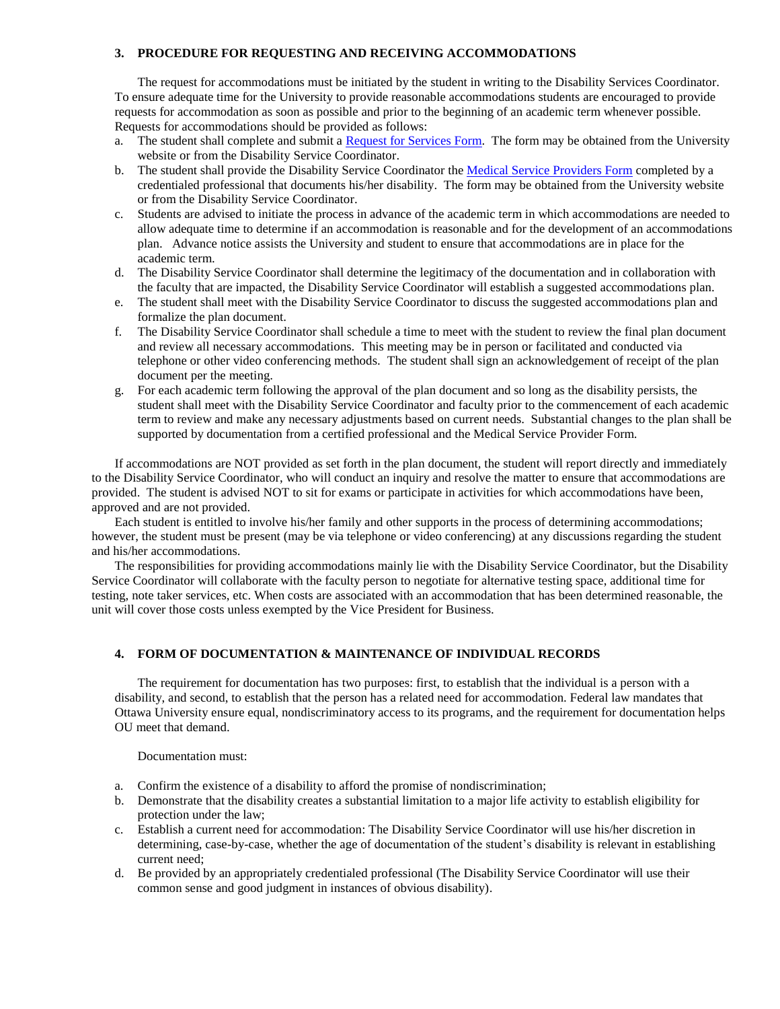# **3. PROCEDURE FOR REQUESTING AND RECEIVING ACCOMMODATIONS**

The request for accommodations must be initiated by the student in writing to the Disability Services Coordinator. To ensure adequate time for the University to provide reasonable accommodations students are encouraged to provide requests for accommodation as soon as possible and prior to the beginning of an academic term whenever possible. Requests for accommodations should be provided as follows:

- a. The student shall complete and submit a [Request for Services Form.](http://www.ottawa.edu/OttawaU/media/Forms/Disability-Services/Disabilities-Accommodation-Request-Form-2014_103014.pdf) The form may be obtained from the University website or from the Disability Service Coordinator.
- b. The student shall provide the Disability Service Coordinator th[e Medical Service Providers Form](http://www.ottawa.edu/OttawaU/media/Forms/Disability-Services/Medical-Providers-Form-2014_103014.pdf) completed by a credentialed professional that documents his/her disability. The form may be obtained from the University website or from the Disability Service Coordinator.
- c. Students are advised to initiate the process in advance of the academic term in which accommodations are needed to allow adequate time to determine if an accommodation is reasonable and for the development of an accommodations plan. Advance notice assists the University and student to ensure that accommodations are in place for the academic term.
- d. The Disability Service Coordinator shall determine the legitimacy of the documentation and in collaboration with the faculty that are impacted, the Disability Service Coordinator will establish a suggested accommodations plan.
- e. The student shall meet with the Disability Service Coordinator to discuss the suggested accommodations plan and formalize the plan document.
- f. The Disability Service Coordinator shall schedule a time to meet with the student to review the final plan document and review all necessary accommodations. This meeting may be in person or facilitated and conducted via telephone or other video conferencing methods. The student shall sign an acknowledgement of receipt of the plan document per the meeting.
- g. For each academic term following the approval of the plan document and so long as the disability persists, the student shall meet with the Disability Service Coordinator and faculty prior to the commencement of each academic term to review and make any necessary adjustments based on current needs. Substantial changes to the plan shall be supported by documentation from a certified professional and the Medical Service Provider Form.

If accommodations are NOT provided as set forth in the plan document, the student will report directly and immediately to the Disability Service Coordinator, who will conduct an inquiry and resolve the matter to ensure that accommodations are provided. The student is advised NOT to sit for exams or participate in activities for which accommodations have been, approved and are not provided.

Each student is entitled to involve his/her family and other supports in the process of determining accommodations; however, the student must be present (may be via telephone or video conferencing) at any discussions regarding the student and his/her accommodations.

The responsibilities for providing accommodations mainly lie with the Disability Service Coordinator, but the Disability Service Coordinator will collaborate with the faculty person to negotiate for alternative testing space, additional time for testing, note taker services, etc. When costs are associated with an accommodation that has been determined reasonable, the unit will cover those costs unless exempted by the Vice President for Business.

#### **4. FORM OF DOCUMENTATION & MAINTENANCE OF INDIVIDUAL RECORDS**

The requirement for documentation has two purposes: first, to establish that the individual is a person with a disability, and second, to establish that the person has a related need for accommodation. Federal law mandates that Ottawa University ensure equal, nondiscriminatory access to its programs, and the requirement for documentation helps OU meet that demand.

Documentation must:

- a. Confirm the existence of a disability to afford the promise of nondiscrimination;
- b. Demonstrate that the disability creates a substantial limitation to a major life activity to establish eligibility for protection under the law;
- c. Establish a current need for accommodation: The Disability Service Coordinator will use his/her discretion in determining, case-by-case, whether the age of documentation of the student's disability is relevant in establishing current need;
- d. Be provided by an appropriately credentialed professional (The Disability Service Coordinator will use their common sense and good judgment in instances of obvious disability).